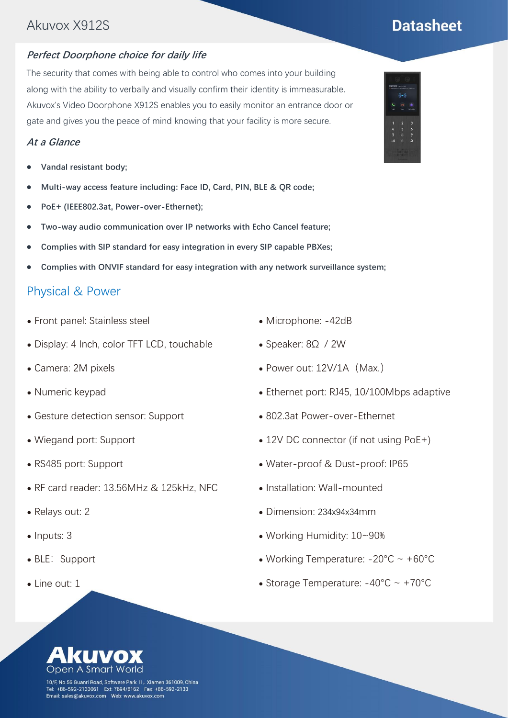## Akuvox X912S

### **Perfect Doorphone choice for daily life**

The security that comes with being able to control who comes into your building along with the ability to verbally and visually confirm their identity is immeasurable. Akuvox's Video Doorphone X912S enables you to easily monitor an entrance door or gate and gives you the peace of mind knowing that your facility is more secure.

#### **At a Glance**

- ⚫ **Vandal resistant body;**
- ⚫ **Multi-way access feature including: Face ID, Card, PIN, BLE & QR code;**
- ⚫ **PoE+ (IEEE802.3at, Power-over-Ethernet);**
- ⚫ **Two-way audio communication over IP networks with Echo Cancel feature;**
- ⚫ **Complies with SIP standard for easy integration in every SIP capable PBXes;**
- ⚫ **Complies with ONVIF standard for easy integration with any network surveillance system;**

## Physical & Power

- ⚫ Front panel: [Stainless steel](http://www.youdao.com/w/stainless%20steel/#keyfrom=E2Ctranslation)
- ⚫ Display: 4 Inch, color TFT LCD, touchable
- ⚫ Camera: 2M pixels
- ⚫ Numeric keypad
- ⚫ Gesture detection sensor: Support
- ⚫ Wiegand port: Support
- ⚫ RS485 port: Support
- ⚫ RF card reader: 13.56MHz & 125kHz, NFC
- ⚫ Relays out: 2
- Inputs: 3
- BLE: Support
- Line out: 1
- ⚫ Microphone: -42dB
- ⚫ Speaker: 8Ω / 2W
- Power out: 12V/1A (Max.)
- ⚫ Ethernet port: RJ45, 10/100Mbps adaptive
- ⚫ 802.3at Power-over-Ethernet
- ⚫ 12V DC connector (if not using PoE+)
- ⚫ Water-proof & Dust-proof: IP65
- ⚫ Installation: Wall-mounted
- ⚫ Dimension: 234x94x34mm
- ⚫ Working Humidity: 10~90%
- Working Temperature:  $-20^{\circ}$ C ~  $+60^{\circ}$ C
- Storage Temperature:  $-40^{\circ}$ C ~  $+70^{\circ}$ C

10/F, No.56 Guanri Road, Software Park II, Xiamen 361009, China Tel: +86-592-2133061 Ext: 7694/8162 Fax: +86-592-2133<br>Tel: +86-592-2133061 Ext: 7694/8162 Fax: +86-592-2133